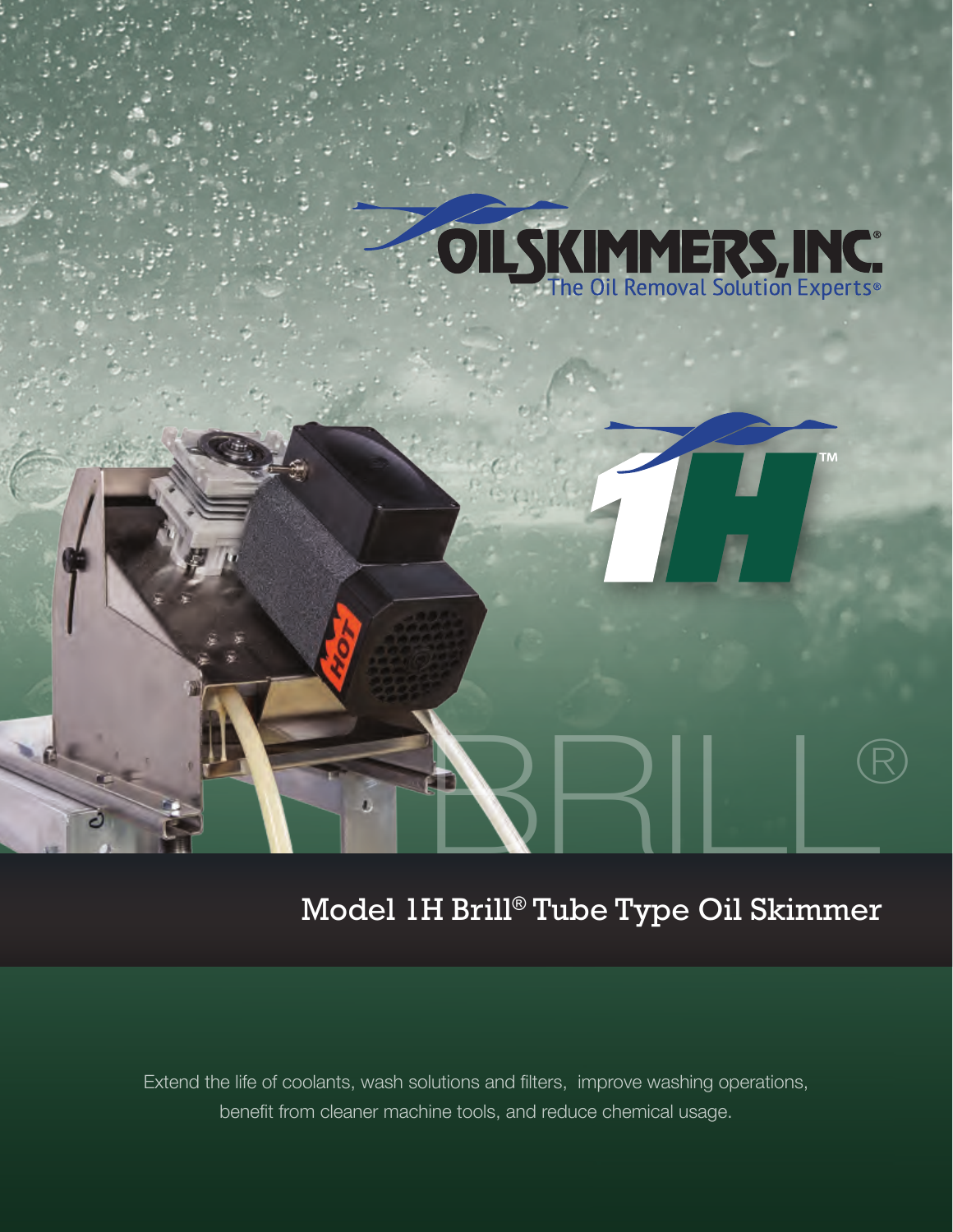

# Model 1H Brill® Tube Type Oil Skimmer

Extend the life of coolants, wash solutions and filters, improve washing operations, benefit from cleaner machine tools, and reduce chemical usage.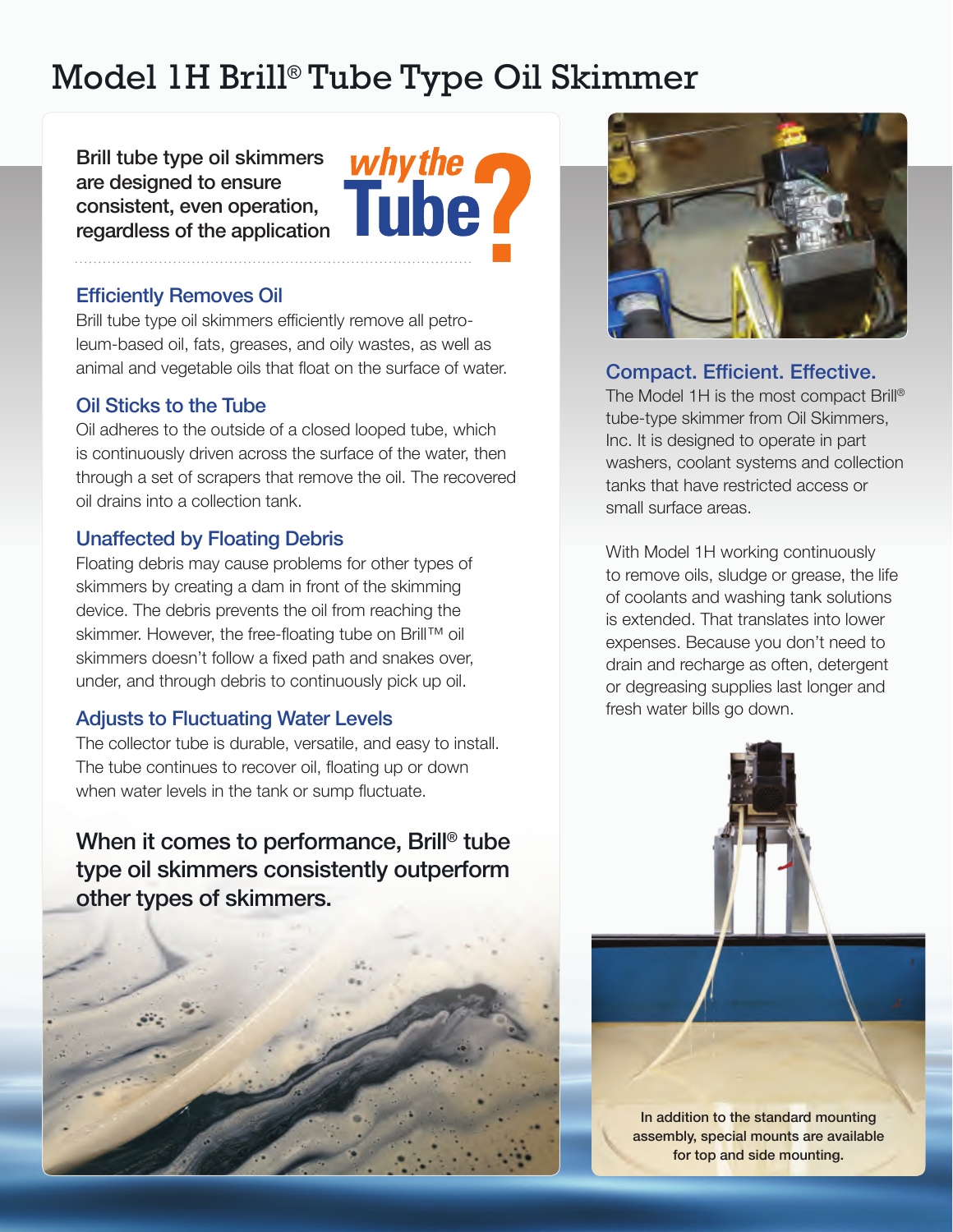## Model 1H Brill® Tube Type Oil Skimmer

Brill tube type oil skimmers are designed to ensure consistent, even operation, regardless of the application



#### Efficiently Removes Oil

Brill tube type oil skimmers efficiently remove all petroleum-based oil, fats, greases, and oily wastes, as well as animal and vegetable oils that float on the surface of water.

#### Oil Sticks to the Tube

Oil adheres to the outside of a closed looped tube, which is continuously driven across the surface of the water, then through a set of scrapers that remove the oil. The recovered oil drains into a collection tank.

### Unaffected by Floating Debris

Floating debris may cause problems for other types of skimmers by creating a dam in front of the skimming device. The debris prevents the oil from reaching the skimmer. However, the free-floating tube on Brill™ oil skimmers doesn't follow a fixed path and snakes over, under, and through debris to continuously pick up oil.

#### Adjusts to Fluctuating Water Levels

The collector tube is durable, versatile, and easy to install. The tube continues to recover oil, floating up or down when water levels in the tank or sump fluctuate.

When it comes to performance, Brill® tube type oil skimmers consistently outperform other types of skimmers.





#### Compact. Efficient. Effective.

The Model 1H is the most compact Brill® tube-type skimmer from Oil Skimmers, Inc. It is designed to operate in part washers, coolant systems and collection tanks that have restricted access or small surface areas.

With Model 1H working continuously to remove oils, sludge or grease, the life of coolants and washing tank solutions is extended. That translates into lower expenses. Because you don't need to drain and recharge as often, detergent or degreasing supplies last longer and fresh water bills go down.



In addition to the standard mounting assembly, special mounts are available for top and side mounting.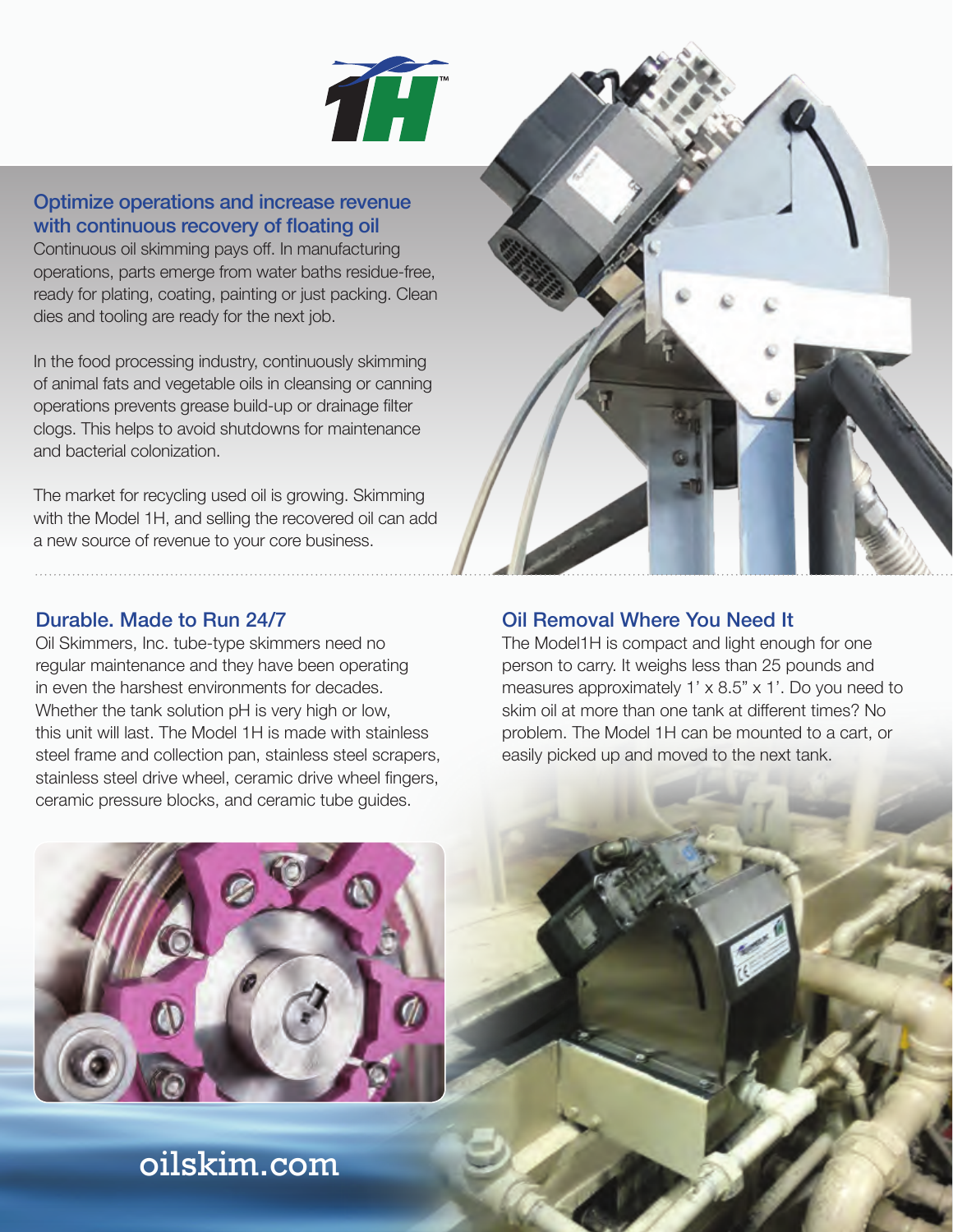

#### Optimize operations and increase revenue with continuous recovery of floating oil

Continuous oil skimming pays off. In manufacturing operations, parts emerge from water baths residue-free, ready for plating, coating, painting or just packing. Clean dies and tooling are ready for the next job.

In the food processing industry, continuously skimming of animal fats and vegetable oils in cleansing or canning operations prevents grease build-up or drainage filter clogs. This helps to avoid shutdowns for maintenance and bacterial colonization.

The market for recycling used oil is growing. Skimming with the Model 1H, and selling the recovered oil can add a new source of revenue to your core business.

#### Durable. Made to Run 24/7

Oil Skimmers, Inc. tube-type skimmers need no regular maintenance and they have been operating in even the harshest environments for decades. Whether the tank solution pH is very high or low, this unit will last. The Model 1H is made with stainless steel frame and collection pan, stainless steel scrapers, stainless steel drive wheel, ceramic drive wheel fingers, ceramic pressure blocks, and ceramic tube guides.



#### Oil Removal Where You Need It

The Model1H is compact and light enough for one person to carry. It weighs less than 25 pounds and measures approximately 1' x 8.5" x 1'. Do you need to skim oil at more than one tank at different times? No problem. The Model 1H can be mounted to a cart, or easily picked up and moved to the next tank.



## oilskim.com